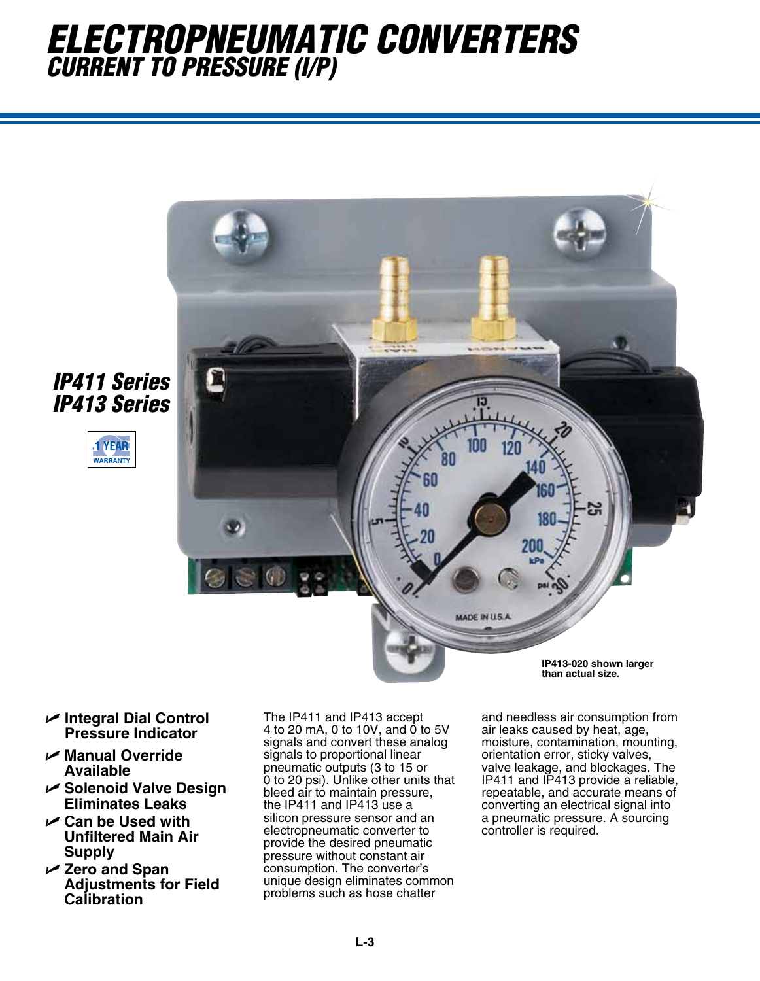## *Electropneumatic converters Current to PRessure (i/P)*



- *IP411 Series IP413 Series*
	- **1 YEAR WARRANTY**

- U **Integral Dial Control Pressure Indicator**
- U **Manual Override Available**
- U **Solenoid Valve Design Eliminates Leaks**
- U **Can be Used with Unfiltered Main Air Supply**
- U **Zero and Span Adjustments for Field Calibration**

The IP411 and IP413 accept 4 to 20 mA, 0 to 10V, and 0 to 5V signals and convert these analog signals to proportional linear pneumatic outputs (3 to 15 or 0 to 20 psi). Unlike other units that bleed air to maintain pressure, the IP411 and IP413 use a silicon pressure sensor and an electropneumatic converter to provide the desired pneumatic pressure without constant air consumption. The converter's unique design eliminates common problems such as hose chatter

and needless air consumption from air leaks caused by heat, age, moisture, contamination, mounting, orientation error, sticky valves, valve leakage, and blockages. The IP411 and IP413 provide a reliable, repeatable, and accurate means of converting an electrical signal into a pneumatic pressure. A sourcing controller is required.